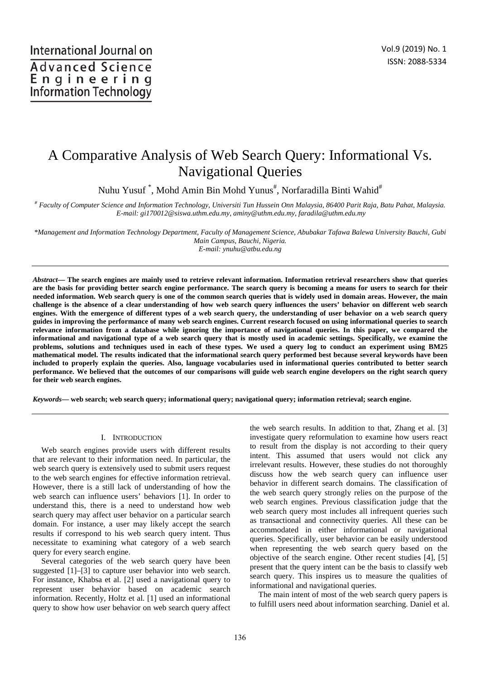# A Comparative Analysis of Web Search Query: Informational Vs. Navigational Queries

Nuhu Yusuf  $\degree,$  Mohd Amin Bin Mohd Yunus $^{\#},$  Norfaradilla Binti Wahid $^{\#}$ 

*# Faculty of Computer Science and Information Technology, Universiti Tun Hussein Onn Malaysia, 86400 Parit Raja, Batu Pahat, Malaysia. E-mail: gi170012@siswa.uthm.edu.my, aminy@uthm.edu.my, faradila@uthm.edu.my* 

*\*Management and Information Technology Department, Faculty of Management Science, Abubakar Tafawa Balewa University Bauchi, Gubi Main Campus, Bauchi, Nigeria.* 

*E-mail: ynuhu@atbu.edu.ng* 

*Abstract***— The search engines are mainly used to retrieve relevant information. Information retrieval researchers show that queries are the basis for providing better search engine performance. The search query is becoming a means for users to search for their needed information. Web search query is one of the common search queries that is widely used in domain areas. However, the main challenge is the absence of a clear understanding of how web search query influences the users' behavior on different web search engines. With the emergence of different types of a web search query, the understanding of user behavior on a web search query guides in improving the performance of many web search engines. Current research focused on using informational queries to search relevance information from a database while ignoring the importance of navigational queries. In this paper, we compared the informational and navigational type of a web search query that is mostly used in academic settings. Specifically, we examine the problems, solutions and techniques used in each of these types. We used a query log to conduct an experiment using BM25 mathematical model. The results indicated that the informational search query performed best because several keywords have been included to properly explain the queries. Also, language vocabularies used in informational queries contributed to better search performance. We believed that the outcomes of our comparisons will guide web search engine developers on the right search query for their web search engines.** 

*Keywords***— web search; web search query; informational query; navigational query; information retrieval; search engine.** 

## I. INTRODUCTION

Web search engines provide users with different results that are relevant to their information need. In particular, the web search query is extensively used to submit users request to the web search engines for effective information retrieval. However, there is a still lack of understanding of how the web search can influence users' behaviors [1]. In order to understand this, there is a need to understand how web search query may affect user behavior on a particular search domain. For instance, a user may likely accept the search results if correspond to his web search query intent. Thus necessitate to examining what category of a web search query for every search engine.

Several categories of the web search query have been suggested [1]–[3] to capture user behavior into web search. For instance, Khabsa et al. [2] used a navigational query to represent user behavior based on academic search information. Recently, Holtz et al. [1] used an informational query to show how user behavior on web search query affect the web search results. In addition to that, Zhang et al. [3] investigate query reformulation to examine how users react to result from the display is not according to their query intent. This assumed that users would not click any irrelevant results. However, these studies do not thoroughly discuss how the web search query can influence user behavior in different search domains. The classification of the web search query strongly relies on the purpose of the web search engines. Previous classification judge that the web search query most includes all infrequent queries such as transactional and connectivity queries. All these can be accommodated in either informational or navigational queries. Specifically, user behavior can be easily understood when representing the web search query based on the objective of the search engine. Other recent studies [4], [5] present that the query intent can be the basis to classify web search query. This inspires us to measure the qualities of informational and navigational queries.

The main intent of most of the web search query papers is to fulfill users need about information searching. Daniel et al.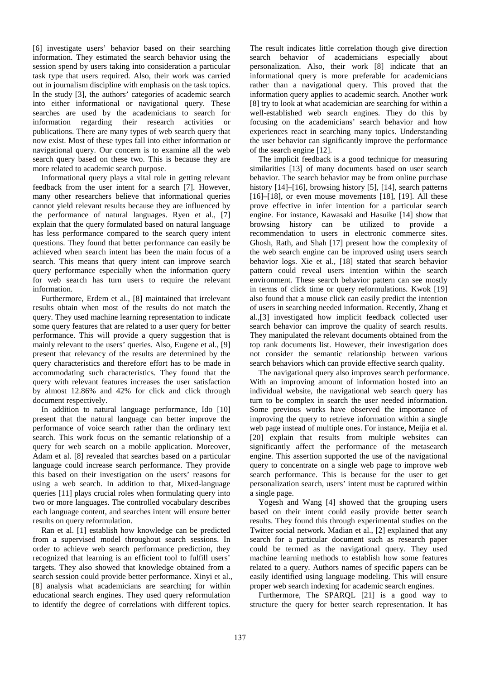[6] investigate users' behavior based on their searching information. They estimated the search behavior using the session spend by users taking into consideration a particular task type that users required. Also, their work was carried out in journalism discipline with emphasis on the task topics. In the study [3], the authors' categories of academic search into either informational or navigational query. These searches are used by the academicians to search for information regarding their research activities or publications. There are many types of web search query that now exist. Most of these types fall into either information or navigational query. Our concern is to examine all the web search query based on these two. This is because they are more related to academic search purpose.

Informational query plays a vital role in getting relevant feedback from the user intent for a search [7]. However, many other researchers believe that informational queries cannot yield relevant results because they are influenced by the performance of natural languages. Ryen et al., [7] explain that the query formulated based on natural language has less performance compared to the search query intent questions. They found that better performance can easily be achieved when search intent has been the main focus of a search. This means that query intent can improve search query performance especially when the information query for web search has turn users to require the relevant information.

Furthermore, Erdem et al., [8] maintained that irrelevant results obtain when most of the results do not match the query. They used machine learning representation to indicate some query features that are related to a user query for better performance. This will provide a query suggestion that is mainly relevant to the users' queries. Also, Eugene et al., [9] present that relevancy of the results are determined by the query characteristics and therefore effort has to be made in accommodating such characteristics. They found that the query with relevant features increases the user satisfaction by almost 12.86% and 42% for click and click through document respectively.

In addition to natural language performance, Ido [10] present that the natural language can better improve the performance of voice search rather than the ordinary text search. This work focus on the semantic relationship of a query for web search on a mobile application. Moreover, Adam et al. [8] revealed that searches based on a particular language could increase search performance. They provide this based on their investigation on the users' reasons for using a web search. In addition to that, Mixed-language queries [11] plays crucial roles when formulating query into two or more languages. The controlled vocabulary describes each language content, and searches intent will ensure better results on query reformulation.

Ran et al. [1] establish how knowledge can be predicted from a supervised model throughout search sessions. In order to achieve web search performance prediction, they recognized that learning is an efficient tool to fulfill users' targets. They also showed that knowledge obtained from a search session could provide better performance. Xinyi et al., [8] analysis what academicians are searching for within educational search engines. They used query reformulation to identify the degree of correlations with different topics.

The result indicates little correlation though give direction search behavior of academicians especially about personalization. Also, their work [8] indicate that an informational query is more preferable for academicians rather than a navigational query. This proved that the information query applies to academic search. Another work [8] try to look at what academician are searching for within a well-established web search engines. They do this by focusing on the academicians' search behavior and how experiences react in searching many topics. Understanding the user behavior can significantly improve the performance of the search engine [12].

The implicit feedback is a good technique for measuring similarities [13] of many documents based on user search behavior. The search behavior may be from online purchase history [14]–[16], browsing history [5], [14], search patterns  $[16]$ – $[18]$ , or even mouse movements  $[18]$ ,  $[19]$ . All these prove effective in infer intention for a particular search engine. For instance, Kawasaki and Hasuike [14] show that browsing history can be utilized to provide a recommendation to users in electronic commerce sites. Ghosh, Rath, and Shah [17] present how the complexity of the web search engine can be improved using users search behavior logs. Xie et al., [18] stated that search behavior pattern could reveal users intention within the search environment. These search behavior pattern can see mostly in terms of click time or query reformulations. Kwok [19] also found that a mouse click can easily predict the intention of users in searching needed information. Recently, Zhang et al.,[3] investigated how implicit feedback collected user search behavior can improve the quality of search results. They manipulated the relevant documents obtained from the top rank documents list. However, their investigation does not consider the semantic relationship between various search behaviors which can provide effective search quality.

The navigational query also improves search performance. With an improving amount of information hosted into an individual website, the navigational web search query has turn to be complex in search the user needed information. Some previous works have observed the importance of improving the query to retrieve information within a single web page instead of multiple ones. For instance, Meijia et al. [20] explain that results from multiple websites can significantly affect the performance of the metasearch engine. This assertion supported the use of the navigational query to concentrate on a single web page to improve web search performance. This is because for the user to get personalization search, users' intent must be captured within a single page.

Yogesh and Wang [4] showed that the grouping users based on their intent could easily provide better search results. They found this through experimental studies on the Twitter social network. Madian et al., [2] explained that any search for a particular document such as research paper could be termed as the navigational query. They used machine learning methods to establish how some features related to a query. Authors names of specific papers can be easily identified using language modeling. This will ensure proper web search indexing for academic search engines.

Furthermore, The SPARQL [21] is a good way to structure the query for better search representation. It has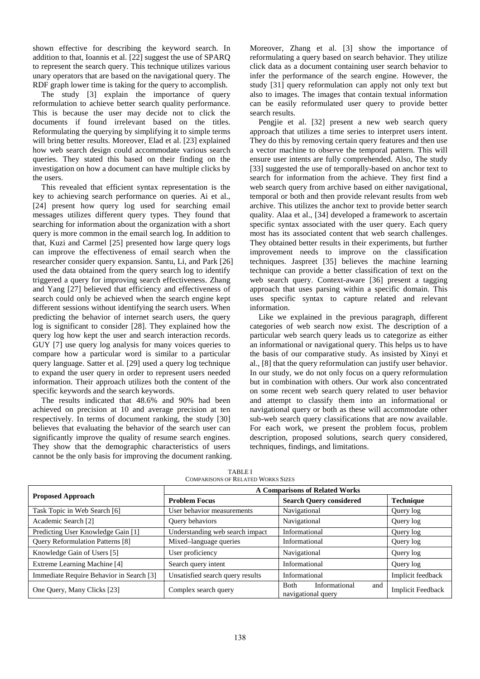shown effective for describing the keyword search. In addition to that, Ioannis et al. [22] suggest the use of SPARQ to represent the search query. This technique utilizes various unary operators that are based on the navigational query. The RDF graph lower time is taking for the query to accomplish.

The study [3] explain the importance of query reformulation to achieve better search quality performance. This is because the user may decide not to click the documents if found irrelevant based on the titles. Reformulating the querying by simplifying it to simple terms will bring better results. Moreover, Elad et al. [23] explained how web search design could accommodate various search queries. They stated this based on their finding on the investigation on how a document can have multiple clicks by the users.

This revealed that efficient syntax representation is the key to achieving search performance on queries. Ai et al., [24] present how query log used for searching email messages utilizes different query types. They found that searching for information about the organization with a short query is more common in the email search log. In addition to that, Kuzi and Carmel [25] presented how large query logs can improve the effectiveness of email search when the researcher consider query expansion. Santu, Li, and Park [26] used the data obtained from the query search log to identify triggered a query for improving search effectiveness. Zhang and Yang [27] believed that efficiency and effectiveness of search could only be achieved when the search engine kept different sessions without identifying the search users. When predicting the behavior of internet search users, the query log is significant to consider [28]. They explained how the query log how kept the user and search interaction records. GUY [7] use query log analysis for many voices queries to compare how a particular word is similar to a particular query language. Satter et al. [29] used a query log technique to expand the user query in order to represent users needed information. Their approach utilizes both the content of the specific keywords and the search keywords.

The results indicated that 48.6% and 90% had been achieved on precision at 10 and average precision at ten respectively. In terms of document ranking, the study [30] believes that evaluating the behavior of the search user can significantly improve the quality of resume search engines. They show that the demographic characteristics of users cannot be the only basis for improving the document ranking. Moreover, Zhang et al. [3] show the importance of reformulating a query based on search behavior. They utilize click data as a document containing user search behavior to infer the performance of the search engine. However, the study [31] query reformulation can apply not only text but also to images. The images that contain textual information can be easily reformulated user query to provide better search results.

Pengjie et al. [32] present a new web search query approach that utilizes a time series to interpret users intent. They do this by removing certain query features and then use a vector machine to observe the temporal pattern. This will ensure user intents are fully comprehended. Also, The study [33] suggested the use of temporally-based on anchor text to search for information from the achieve. They first find a web search query from archive based on either navigational, temporal or both and then provide relevant results from web archive. This utilizes the anchor text to provide better search quality. Alaa et al., [34] developed a framework to ascertain specific syntax associated with the user query. Each query most has its associated content that web search challenges. They obtained better results in their experiments, but further improvement needs to improve on the classification techniques. Jaspreet [35] believes the machine learning technique can provide a better classification of text on the web search query. Context-aware [36] present a tagging approach that uses parsing within a specific domain. This uses specific syntax to capture related and relevant information.

Like we explained in the previous paragraph, different categories of web search now exist. The description of a particular web search query leads us to categorize as either an informational or navigational query. This helps us to have the basis of our comparative study. As insisted by Xinyi et al., [8] that the query reformulation can justify user behavior. In our study, we do not only focus on a query reformulation but in combination with others. Our work also concentrated on some recent web search query related to user behavior and attempt to classify them into an informational or navigational query or both as these will accommodate other sub-web search query classifications that are now available. For each work, we present the problem focus, problem description, proposed solutions, search query considered, techniques, findings, and limitations.

|                                          | <b>A Comparisons of Related Works</b>            |                                                           |                          |  |
|------------------------------------------|--------------------------------------------------|-----------------------------------------------------------|--------------------------|--|
| <b>Proposed Approach</b>                 | <b>Problem Focus</b>                             | <b>Search Query considered</b>                            | Technique                |  |
| Task Topic in Web Search [6]             | User behavior measurements                       | Navigational                                              |                          |  |
| Academic Search [2]                      | Query behaviors                                  | Navigational                                              | Query log                |  |
| Predicting User Knowledge Gain [1]       | Understanding web search impact<br>Informational |                                                           | Query log                |  |
| Query Reformulation Patterns [8]         | Mixed-language queries<br>Informational          |                                                           | Query log                |  |
| Knowledge Gain of Users [5]              | User proficiency                                 | Navigational                                              | Query log                |  |
| Extreme Learning Machine [4]             | Search query intent                              | Informational                                             | Query log                |  |
| Immediate Require Behavior in Search [3] | Unsatisfied search query results                 | Informational                                             | Implicit feedback        |  |
| One Query, Many Clicks [23]              | Complex search query                             | Informational<br><b>Both</b><br>and<br>navigational query | <b>Implicit Feedback</b> |  |

TABLE I COMPARISONS OF RELATED WORKS SIZES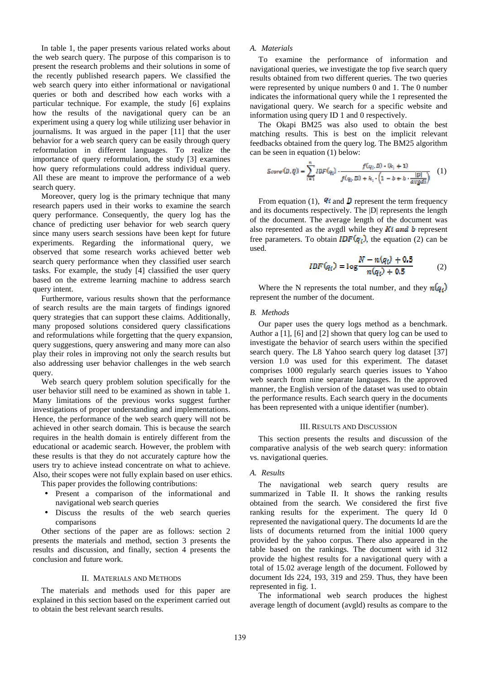In table 1, the paper presents various related works about the web search query. The purpose of this comparison is to present the research problems and their solutions in some of the recently published research papers. We classified the web search query into either informational or navigational queries or both and described how each works with a particular technique. For example, the study [6] explains how the results of the navigational query can be an experiment using a query log while utilizing user behavior in journalisms. It was argued in the paper [11] that the user behavior for a web search query can be easily through query reformulation in different languages. To realize the importance of query reformulation, the study [3] examines how query reformulations could address individual query. All these are meant to improve the performance of a web search query.

Moreover, query log is the primary technique that many research papers used in their works to examine the search query performance. Consequently, the query log has the chance of predicting user behavior for web search query since many users search sessions have been kept for future experiments. Regarding the informational query, we observed that some research works achieved better web search query performance when they classified user search tasks. For example, the study [4] classified the user query based on the extreme learning machine to address search query intent.

Furthermore, various results shown that the performance of search results are the main targets of findings ignored query strategies that can support these claims. Additionally, many proposed solutions considered query classifications and reformulations while forgetting that the query expansion, query suggestions, query answering and many more can also play their roles in improving not only the search results but also addressing user behavior challenges in the web search query.

Web search query problem solution specifically for the user behavior still need to be examined as shown in table 1. Many limitations of the previous works suggest further investigations of proper understanding and implementations. Hence, the performance of the web search query will not be achieved in other search domain. This is because the search requires in the health domain is entirely different from the educational or academic search. However, the problem with these results is that they do not accurately capture how the users try to achieve instead concentrate on what to achieve. Also, their scopes were not fully explain based on user ethics.

This paper provides the following contributions:

- Present a comparison of the informational and navigational web search queries
- Discuss the results of the web search queries comparisons

Other sections of the paper are as follows: section 2 presents the materials and method, section 3 presents the results and discussion, and finally, section 4 presents the conclusion and future work.

## II. MATERIALS AND METHODS

The materials and methods used for this paper are explained in this section based on the experiment carried out to obtain the best relevant search results.

# *A. Materials*

To examine the performance of information and navigational queries, we investigate the top five search query results obtained from two different queries. The two queries were represented by unique numbers 0 and 1. The 0 number indicates the informational query while the 1 represented the navigational query. We search for a specific website and information using query ID 1 and 0 respectively.

The Okapi BM25 was also used to obtain the best matching results. This is best on the implicit relevant feedbacks obtained from the query log. The BM25 algorithm can be seen in equation (1) below:

$$
Score(D,Q) = \sum_{i=1}^{N} IDF(q_i) \cdot \frac{f(q_i, D) \cdot Q_i + 1)}{f(q_i, D) + k_i \cdot (1 - b + b \cdot \frac{|D|}{avgdl})}
$$
(1)

From equation (1),  $\Phi$  and  $\hat{\mathbf{D}}$  represent the term frequency and its documents respectively. The |D| represents the length of the document. The average length of the document was also represented as the avgdl while they  $Ki$  and  $b$  represent free parameters. To obtain  $IDF(q_i)$ , the equation (2) can be used.

$$
IDF(q_i) = \log \frac{N - n(q_i) + 0.5}{n(q_i) + 0.5}
$$
 (2)

Where the N represents the total number, and they  $n(a_i)$ represent the number of the document.

# *B. Methods*

Our paper uses the query logs method as a benchmark. Author a [1], [6] and [2] shown that query log can be used to investigate the behavior of search users within the specified search query. The L8 Yahoo search query log dataset [37] version 1.0 was used for this experiment. The dataset comprises 1000 regularly search queries issues to Yahoo web search from nine separate languages. In the approved manner, the English version of the dataset was used to obtain the performance results. Each search query in the documents has been represented with a unique identifier (number).

#### III. RESULTS AND DISCUSSION

This section presents the results and discussion of the comparative analysis of the web search query: information vs. navigational queries.

### *A. Results*

The navigational web search query results are summarized in Table II. It shows the ranking results obtained from the search. We considered the first five ranking results for the experiment. The query Id 0 represented the navigational query. The documents Id are the lists of documents returned from the initial 1000 query provided by the yahoo corpus. There also appeared in the table based on the rankings. The document with id 312 provide the highest results for a navigational query with a total of 15.02 average length of the document. Followed by document Ids 224, 193, 319 and 259. Thus, they have been represented in fig. 1.

The informational web search produces the highest average length of document (avgld) results as compare to the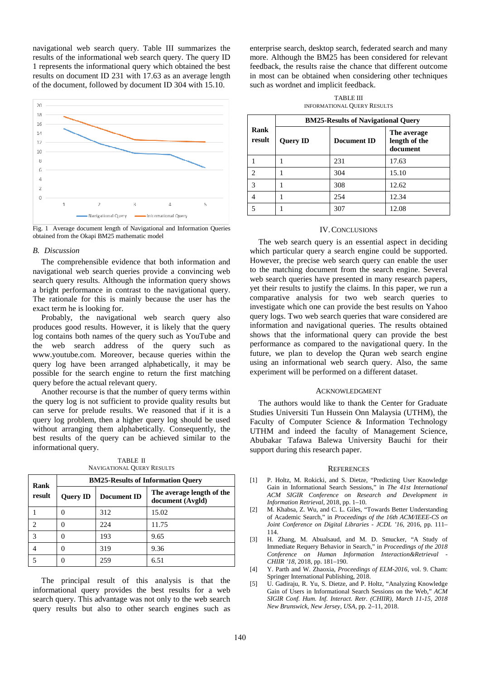navigational web search query. Table III summarizes the results of the informational web search query. The query ID 1 represents the informational query which obtained the best results on document ID 231 with 17.63 as an average length of the document, followed by document ID 304 with 15.10.



Fig. 1 Average document length of Navigational and Information Queries obtained from the Okapi BM25 mathematic model

## *B. Discussion*

The comprehensible evidence that both information and navigational web search queries provide a convincing web search query results. Although the information query shows a bright performance in contrast to the navigational query. The rationale for this is mainly because the user has the exact term he is looking for.

Probably, the navigational web search query also produces good results. However, it is likely that the query log contains both names of the query such as YouTube and the web search address of the query such as www.youtube.com. Moreover, because queries within the query log have been arranged alphabetically, it may be possible for the search engine to return the first matching query before the actual relevant query.

Another recourse is that the number of query terms within the query log is not sufficient to provide quality results but can serve for prelude results. We reasoned that if it is a query log problem, then a higher query log should be used without arranging them alphabetically. Consequently, the best results of the query can be achieved similar to the informational query.

TABLE II NAVIGATIONAL QUERY RESULTS

| Rank<br>result | <b>BM25-Results of Information Ouery</b> |             |                                               |  |
|----------------|------------------------------------------|-------------|-----------------------------------------------|--|
|                | <b>Query ID</b>                          | Document ID | The average length of the<br>document (Avgld) |  |
|                |                                          | 312         | 15.02                                         |  |
| 2              |                                          | 224         | 11.75                                         |  |
| 3              | 0                                        | 193         | 9.65                                          |  |
|                |                                          | 319         | 9.36                                          |  |
|                |                                          | 259         | 6.51                                          |  |

The principal result of this analysis is that the informational query provides the best results for a web search query. This advantage was not only to the web search query results but also to other search engines such as enterprise search, desktop search, federated search and many more. Although the BM25 has been considered for relevant feedback, the results raise the chance that different outcome in most can be obtained when considering other techniques such as wordnet and implicit feedback.

TABLE III INFORMATIONAL QUERY RESULTS

|                | <b>BM25-Results of Navigational Query</b> |                    |                                          |  |  |
|----------------|-------------------------------------------|--------------------|------------------------------------------|--|--|
| Rank<br>result | <b>Query ID</b>                           | <b>Document ID</b> | The average<br>length of the<br>document |  |  |
|                |                                           | 231                | 17.63                                    |  |  |
| っ              |                                           | 304                | 15.10                                    |  |  |
| 3              |                                           | 308                | 12.62                                    |  |  |
|                |                                           | 254                | 12.34                                    |  |  |
|                |                                           | 307                | 12.08                                    |  |  |

#### IV.CONCLUSIONS

The web search query is an essential aspect in deciding which particular query a search engine could be supported. However, the precise web search query can enable the user to the matching document from the search engine. Several web search queries have presented in many research papers, yet their results to justify the claims. In this paper, we run a comparative analysis for two web search queries to investigate which one can provide the best results on Yahoo query logs. Two web search queries that ware considered are information and navigational queries. The results obtained shows that the informational query can provide the best performance as compared to the navigational query. In the future, we plan to develop the Quran web search engine using an informational web search query. Also, the same experiment will be performed on a different dataset.

#### ACKNOWLEDGMENT

The authors would like to thank the Center for Graduate Studies Universiti Tun Hussein Onn Malaysia (UTHM), the Faculty of Computer Science & Information Technology UTHM and indeed the faculty of Management Science, Abubakar Tafawa Balewa University Bauchi for their support during this research paper.

#### **REFERENCES**

- [1] P. Holtz, M. Rokicki, and S. Dietze, "Predicting User Knowledge Gain in Informational Search Sessions," in *The 41st International ACM SIGIR Conference on Research and Development in Information Retrieval*, 2018, pp. 1–10.
- [2] M. Khabsa, Z. Wu, and C. L. Giles, "Towards Better Understanding of Academic Search," in *Proceedings of the 16th ACM/IEEE-CS on Joint Conference on Digital Libraries - JCDL '16*, 2016, pp. 111– 114.
- [3] H. Zhang, M. Abualsaud, and M. D. Smucker, "A Study of Immediate Requery Behavior in Search," in *Proceedings of the 2018 Conference on Human Information Interaction&Retrieval - CHIIR '18*, 2018, pp. 181–190.
- [4] Y. Parth and W. Zhaoxia, *Proceedings of ELM-2016*, vol. 9. Cham: Springer International Publishing, 2018.
- [5] U. Gadiraju, R. Yu, S. Dietze, and P. Holtz, "Analyzing Knowledge Gain of Users in Informational Search Sessions on the Web," *ACM SIGIR Conf. Hum. Inf. Interact. Retr. (CHIIR), March 11-15, 2018 New Brunswick, New Jersey, USA*, pp. 2–11, 2018.